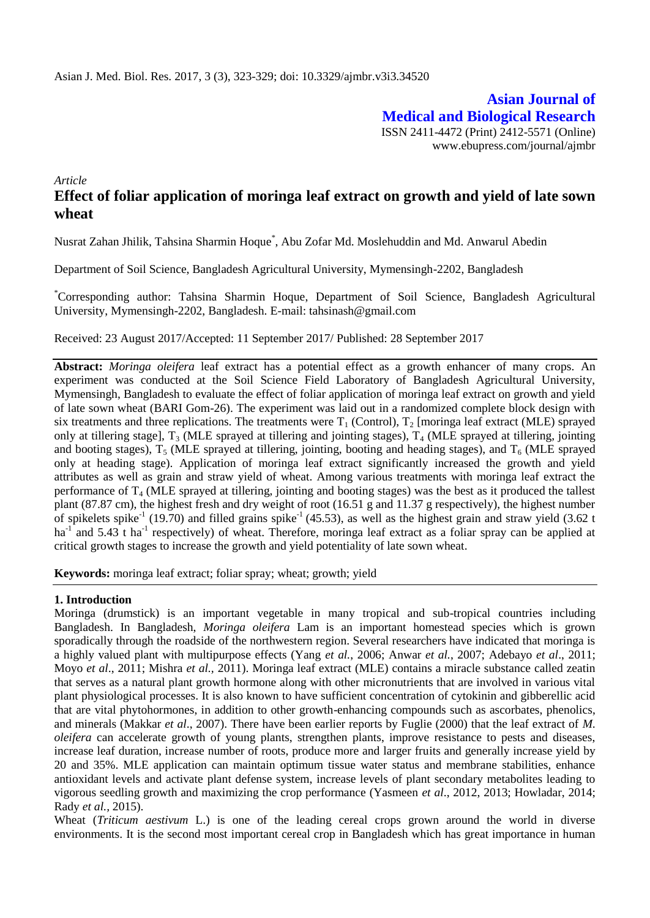**Asian Journal of Medical and Biological Research** ISSN 2411-4472 (Print) 2412-5571 (Online) www.ebupress.com/journal/ajmbr

*Article*

# **Effect of foliar application of moringa leaf extract on growth and yield of late sown wheat**

Nusrat Zahan Jhilik, Tahsina Sharmin Hoque\* , Abu Zofar Md. Moslehuddin and Md. Anwarul Abedin

Department of Soil Science, Bangladesh Agricultural University, Mymensingh-2202, Bangladesh

\*Corresponding author: Tahsina Sharmin Hoque, Department of Soil Science, Bangladesh Agricultural University, Mymensingh-2202, Bangladesh. E-mail: tahsinash@gmail.com

Received: 23 August 2017/Accepted: 11 September 2017/ Published: 28 September 2017

**Abstract:** *Moringa oleifera* leaf extract has a potential effect as a growth enhancer of many crops. An experiment was conducted at the Soil Science Field Laboratory of Bangladesh Agricultural University, Mymensingh, Bangladesh to evaluate the effect of foliar application of moringa leaf extract on growth and yield of late sown wheat (BARI Gom-26). The experiment was laid out in a randomized complete block design with six treatments and three replications. The treatments were  $T_1$  (Control),  $T_2$  [moringa leaf extract (MLE) sprayed only at tillering stage],  $T_3$  (MLE sprayed at tillering and jointing stages),  $T_4$  (MLE sprayed at tillering, jointing and booting stages),  $T_5$  (MLE sprayed at tillering, jointing, booting and heading stages), and  $T_6$  (MLE sprayed only at heading stage). Application of moringa leaf extract significantly increased the growth and yield attributes as well as grain and straw yield of wheat. Among various treatments with moringa leaf extract the performance of  $T_4$  (MLE sprayed at tillering, jointing and booting stages) was the best as it produced the tallest plant (87.87 cm), the highest fresh and dry weight of root (16.51 g and 11.37 g respectively), the highest number of spikelets spike<sup>-1</sup> (19.70) and filled grains spike<sup>-1</sup> (45.53), as well as the highest grain and straw yield (3.62 t ha<sup>-1</sup> and 5.43 t ha<sup>-1</sup> respectively) of wheat. Therefore, moringa leaf extract as a foliar spray can be applied at critical growth stages to increase the growth and yield potentiality of late sown wheat.

**Keywords:** moringa leaf extract; foliar spray; wheat; growth; yield

#### **1. Introduction**

Moringa (drumstick) is an important vegetable in many tropical and sub-tropical countries including Bangladesh. In Bangladesh, *Moringa oleifera* Lam is an important homestead species which is grown sporadically through the roadside of the northwestern region. Several researchers have indicated that moringa is a highly valued plant with multipurpose effects (Yang *et al.*, 2006; Anwar *et al.*, 2007; Adebayo *et al*., 2011; Moyo *et al*., 2011; Mishra *et al.,* 2011). Moringa leaf extract (MLE) contains a miracle substance called zeatin that serves as a natural plant growth hormone along with other micronutrients that are involved in various vital plant physiological processes. It is also known to have sufficient concentration of cytokinin and gibberellic acid that are vital phytohormones, in addition to other growth-enhancing compounds such as ascorbates, phenolics, and minerals (Makkar *et al*., 2007). There have been earlier reports by Fuglie (2000) that the leaf extract of *M. oleifera* can accelerate growth of young plants, strengthen plants, improve resistance to pests and diseases, increase leaf duration, increase number of roots, produce more and larger fruits and generally increase yield by 20 and 35%. MLE application can maintain optimum tissue water status and membrane stabilities, enhance antioxidant levels and activate plant defense system, increase levels of plant secondary metabolites leading to vigorous seedling growth and maximizing the crop performance (Yasmeen *et al*., 2012, 2013; Howladar, 2014; Rady *et al.,* 2015).

Wheat (*Triticum aestivum* L.) is one of the leading cereal crops grown around the world in diverse environments. It is the second most important cereal crop in Bangladesh which has great importance in human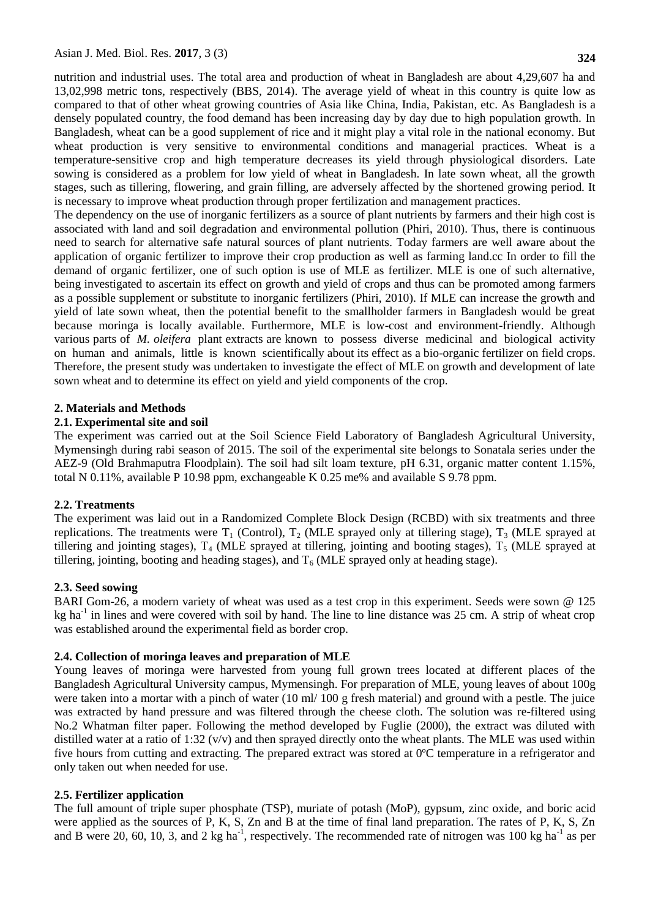nutrition and industrial uses. The total area and production of wheat in Bangladesh are about 4,29,607 ha and 13,02,998 metric tons, respectively (BBS, 2014). The average yield of wheat in this country is quite low as compared to that of other wheat growing countries of Asia like China, India, Pakistan, etc. As Bangladesh is a densely populated country, the food demand has been increasing day by day due to high population growth. In Bangladesh, wheat can be a good supplement of rice and it might play a vital role in the national economy. But wheat production is very sensitive to environmental conditions and managerial practices. Wheat is a temperature-sensitive crop and high temperature decreases its yield through physiological disorders. Late sowing is considered as a problem for low yield of wheat in Bangladesh. In late sown wheat, all the growth stages, such as tillering, flowering, and grain filling, are adversely affected by the shortened growing period. It is necessary to improve wheat production through proper fertilization and management practices.

The dependency on the use of inorganic fertilizers as a source of plant nutrients by farmers and their high cost is associated with land and soil degradation and environmental pollution (Phiri, 2010). Thus, there is continuous need to search for alternative safe natural sources of plant nutrients. Today farmers are well aware about the application of organic fertilizer to improve their crop production as well as farming land.cc In order to fill the demand of organic fertilizer, one of such option is use of MLE as fertilizer. MLE is one of such alternative, being investigated to ascertain its effect on growth and yield of crops and thus can be promoted among farmers as a possible supplement or substitute to inorganic fertilizers (Phiri, 2010). If MLE can increase the growth and yield of late sown wheat, then the potential benefit to the smallholder farmers in Bangladesh would be great because moringa is locally available. Furthermore, MLE is low-cost and environment-friendly. Although various parts of *M. oleifera* plant extracts are known to possess diverse medicinal and biological activity on human and animals, little is known scientifically about its effect as a bio-organic fertilizer on field crops. Therefore, the present study was undertaken to investigate the effect of MLE on growth and development of late sown wheat and to determine its effect on yield and yield components of the crop.

## **2. Materials and Methods**

## **2.1. Experimental site and soil**

The experiment was carried out at the Soil Science Field Laboratory of Bangladesh Agricultural University, Mymensingh during rabi season of 2015. The soil of the experimental site belongs to Sonatala series under the AEZ-9 (Old Brahmaputra Floodplain). The soil had silt loam texture, pH 6.31, organic matter content 1.15%, total N 0.11%, available P 10.98 ppm, exchangeable K 0.25 me% and available S 9.78 ppm.

# **2.2. Treatments**

The experiment was laid out in a Randomized Complete Block Design (RCBD) with six treatments and three replications. The treatments were  $T_1$  (Control),  $T_2$  (MLE sprayed only at tillering stage),  $T_3$  (MLE sprayed at tillering and jointing stages),  $T_4$  (MLE sprayed at tillering, jointing and booting stages),  $T_5$  (MLE sprayed at tillering, jointing, booting and heading stages), and  $T_6$  (MLE sprayed only at heading stage).

#### **2.3. Seed sowing**

BARI Gom-26, a modern variety of wheat was used as a test crop in this experiment. Seeds were sown @ 125 kg ha<sup>-1</sup> in lines and were covered with soil by hand. The line to line distance was 25 cm. A strip of wheat crop was established around the experimental field as border crop.

# **2.4. Collection of moringa leaves and preparation of MLE**

Young leaves of moringa were harvested from young full grown trees located at different places of the Bangladesh Agricultural University campus, Mymensingh. For preparation of MLE, young leaves of about 100g were taken into a mortar with a pinch of water (10 ml/ 100 g fresh material) and ground with a pestle. The juice was extracted by hand pressure and was filtered through the cheese cloth. The solution was re-filtered using No.2 Whatman filter paper. Following the method developed by Fuglie (2000), the extract was diluted with distilled water at a ratio of 1:32 ( $v/v$ ) and then sprayed directly onto the wheat plants. The MLE was used within five hours from cutting and extracting. The prepared extract was stored at 0ºC temperature in a refrigerator and only taken out when needed for use.

# **2.5. Fertilizer application**

The full amount of triple super phosphate (TSP), muriate of potash (MoP), gypsum, zinc oxide, and boric acid were applied as the sources of P, K, S, Zn and B at the time of final land preparation. The rates of P, K, S, Zn and B were 20, 60, 10, 3, and 2 kg ha<sup>-1</sup>, respectively. The recommended rate of nitrogen was 100 kg ha<sup>-1</sup> as per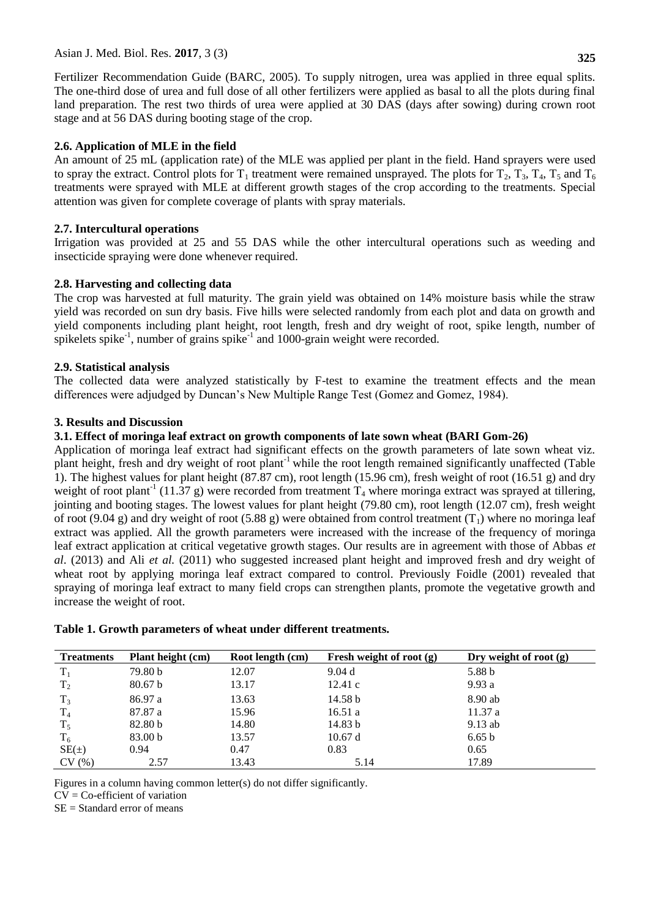## Asian J. Med. Biol. Res. **2017**, 3 (3)

Fertilizer Recommendation Guide (BARC, 2005). To supply nitrogen, urea was applied in three equal splits. The one-third dose of urea and full dose of all other fertilizers were applied as basal to all the plots during final land preparation. The rest two thirds of urea were applied at 30 DAS (days after sowing) during crown root stage and at 56 DAS during booting stage of the crop.

# **2.6. Application of MLE in the field**

An amount of 25 mL (application rate) of the MLE was applied per plant in the field. Hand sprayers were used to spray the extract. Control plots for T<sub>1</sub> treatment were remained unsprayed. The plots for  $T_2$ ,  $T_3$ ,  $T_4$ ,  $T_5$  and  $T_6$ treatments were sprayed with MLE at different growth stages of the crop according to the treatments. Special attention was given for complete coverage of plants with spray materials.

## **2.7. Intercultural operations**

Irrigation was provided at 25 and 55 DAS while the other intercultural operations such as weeding and insecticide spraying were done whenever required.

## **2.8. Harvesting and collecting data**

The crop was harvested at full maturity. The grain yield was obtained on 14% moisture basis while the straw yield was recorded on sun dry basis. Five hills were selected randomly from each plot and data on growth and yield components including plant height, root length, fresh and dry weight of root, spike length, number of spikelets spike<sup>-1</sup>, number of grains spike<sup>-1</sup> and 1000-grain weight were recorded.

## **2.9. Statistical analysis**

The collected data were analyzed statistically by F-test to examine the treatment effects and the mean differences were adjudged by Duncan's New Multiple Range Test (Gomez and Gomez, 1984).

## **3. Results and Discussion**

## **3.1. Effect of moringa leaf extract on growth components of late sown wheat (BARI Gom-26)**

Application of moringa leaf extract had significant effects on the growth parameters of late sown wheat viz. plant height, fresh and dry weight of root plant-1 while the root length remained significantly unaffected (Table 1). The highest values for plant height (87.87 cm), root length (15.96 cm), fresh weight of root (16.51 g) and dry weight of root plant<sup>-1</sup> (11.37 g) were recorded from treatment  $T_4$  where moringa extract was sprayed at tillering, jointing and booting stages. The lowest values for plant height (79.80 cm), root length (12.07 cm), fresh weight of root (9.04 g) and dry weight of root (5.88 g) were obtained from control treatment (T<sub>1</sub>) where no moringa leaf extract was applied. All the growth parameters were increased with the increase of the frequency of moringa leaf extract application at critical vegetative growth stages. Our results are in agreement with those of Abbas *et al*. (2013) and Ali *et al.* (2011) who suggested increased plant height and improved fresh and dry weight of wheat root by applying moringa leaf extract compared to control. Previously Foidle (2001) revealed that spraying of moringa leaf extract to many field crops can strengthen plants, promote the vegetative growth and increase the weight of root.

| <b>Treatments</b> | Plant height (cm) | Root length (cm) | Fresh weight of root $(g)$ | Dry weight of root $(g)$ |
|-------------------|-------------------|------------------|----------------------------|--------------------------|
| $T_{1}$           | 79.80 b           | 12.07            | 9.04d                      | 5.88 b                   |
| T <sub>2</sub>    | 80.67 b           | 13.17            | 12.41c                     | 9.93a                    |
| $T_3$             | 86.97 a           | 13.63            | 14.58 b                    | 8.90 ab                  |
| T <sub>4</sub>    | 87.87 a           | 15.96            | 16.51a                     | 11.37 a                  |
| $T_5$             | 82.80 b           | 14.80            | 14.83 b                    | $9.13$ ab                |
| $T_6$             | 83.00 b           | 13.57            | 10.67 d                    | 6.65 b                   |
| $SE(\pm)$         | 0.94              | 0.47             | 0.83                       | 0.65                     |
| CV(%)             | 2.57              | 13.43            | 5.14                       | 17.89                    |

#### **Table 1. Growth parameters of wheat under different treatments.**

Figures in a column having common letter(s) do not differ significantly.

 $CV = Co\text{-efficient of variation}$ 

 $SE = Standard error of means$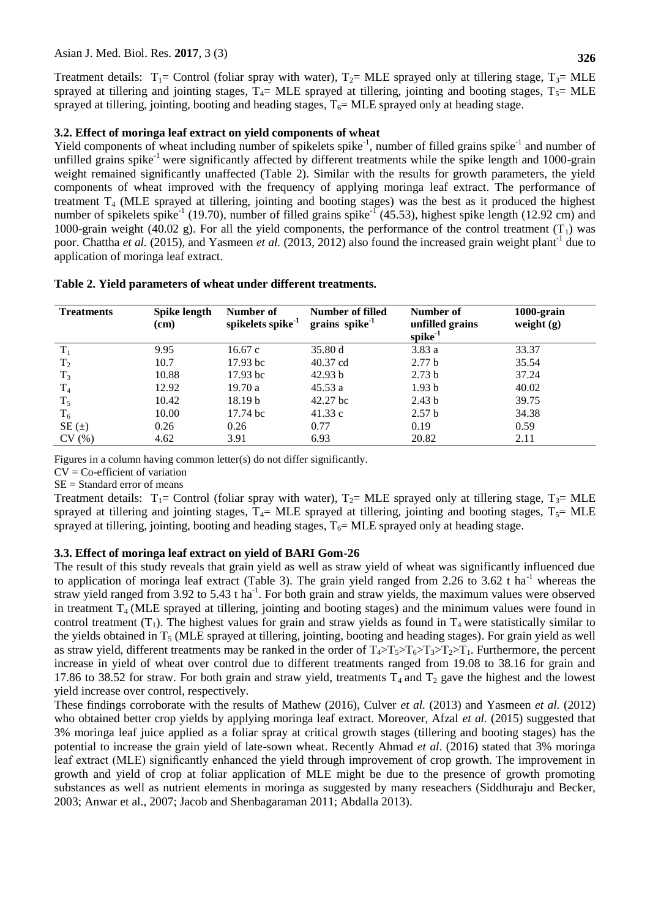Treatment details:  $T_1$ = Control (foliar spray with water),  $T_2$ = MLE sprayed only at tillering stage,  $T_3$ = MLE sprayed at tillering and jointing stages,  $T_4$ = MLE sprayed at tillering, jointing and booting stages, T<sub>5</sub>= MLE sprayed at tillering, jointing, booting and heading stages,  $T_6$ = MLE sprayed only at heading stage.

# **3.2. Effect of moringa leaf extract on yield components of wheat**

Yield components of wheat including number of spikelets spike<sup>-1</sup>, number of filled grains spike<sup>-1</sup> and number of unfilled grains spike<sup>-1</sup> were significantly affected by different treatments while the spike length and 1000-grain weight remained significantly unaffected (Table 2). Similar with the results for growth parameters, the yield components of wheat improved with the frequency of applying moringa leaf extract. The performance of treatment  $T_4$  (MLE sprayed at tillering, jointing and booting stages) was the best as it produced the highest number of spikelets spike<sup>-1</sup> (19.70), number of filled grains spike<sup>-1</sup> (45.53), highest spike length (12.92 cm) and 1000-grain weight (40.02 g). For all the yield components, the performance of the control treatment  $(T_1)$  was poor. Chattha *et al.* (2015), and Yasmeen *et al.* (2013, 2012) also found the increased grain weight plant<sup>-1</sup> due to application of moringa leaf extract.

|  |  | Table 2. Yield parameters of wheat under different treatments. |  |  |  |  |  |
|--|--|----------------------------------------------------------------|--|--|--|--|--|
|--|--|----------------------------------------------------------------|--|--|--|--|--|

| <b>Treatments</b> | Spike length<br>(cm) | Number of<br>spikelets spike <sup>-1</sup> | <b>Number of filled</b><br>grains spike $-1$ | Number of<br>unfilled grains<br>spike $1$ | $1000$ -grain<br>weight $(g)$ |
|-------------------|----------------------|--------------------------------------------|----------------------------------------------|-------------------------------------------|-------------------------------|
| $T_1$             | 9.95                 | 16.67c                                     | 35.80 d                                      | 3.83a                                     | 33.37                         |
| $T_2$             | 10.7                 | $17.93$ bc                                 | 40.37 cd                                     | 2.77 <sub>b</sub>                         | 35.54                         |
| $T_3$             | 10.88                | $17.93$ bc                                 | 42.93 b                                      | 2.73 <sub>b</sub>                         | 37.24                         |
| $T_4$             | 12.92                | 19.70a                                     | 45.53a                                       | 1.93 <sub>b</sub>                         | 40.02                         |
| $T_5$             | 10.42                | 18.19 <sub>b</sub>                         | $42.27$ bc                                   | 2.43 <sub>b</sub>                         | 39.75                         |
| $T_6$             | 10.00                | 17.74 bc                                   | 41.33 c                                      | 2.57 <sub>b</sub>                         | 34.38                         |
| $SE(\pm)$         | 0.26                 | 0.26                                       | 0.77                                         | 0.19                                      | 0.59                          |
| CV(%)             | 4.62                 | 3.91                                       | 6.93                                         | 20.82                                     | 2.11                          |

Figures in a column having common letter(s) do not differ significantly.

 $CV = Co\text{-efficient of variation}$ 

 $SE = Standard$  error of means

Treatment details:  $T_1$ = Control (foliar spray with water),  $T_2$ = MLE sprayed only at tillering stage,  $T_3$ = MLE sprayed at tillering and jointing stages,  $T_4$ = MLE sprayed at tillering, jointing and booting stages,  $T_5$ = MLE sprayed at tillering, jointing, booting and heading stages,  $T_6=$  MLE sprayed only at heading stage.

# **3.3. Effect of moringa leaf extract on yield of BARI Gom-26**

The result of this study reveals that grain yield as well as straw yield of wheat was significantly influenced due to application of moringa leaf extract (Table 3). The grain yield ranged from 2.26 to 3.62 t ha<sup>-1</sup> whereas the straw yield ranged from 3.92 to 5.43 t ha<sup>-1</sup>. For both grain and straw yields, the maximum values were observed in treatment  $T<sub>4</sub>$  (MLE sprayed at tillering, jointing and booting stages) and the minimum values were found in control treatment  $(T_1)$ . The highest values for grain and straw yields as found in  $T_4$  were statistically similar to the yields obtained in  $T_5$  (MLE sprayed at tillering, jointing, booting and heading stages). For grain yield as well as straw yield, different treatments may be ranked in the order of  $T_4 > T_5 > T_6 > T_3 > T_2 > T_1$ . Furthermore, the percent increase in yield of wheat over control due to different treatments ranged from 19.08 to 38.16 for grain and 17.86 to 38.52 for straw. For both grain and straw yield, treatments  $T_4$  and  $T_2$  gave the highest and the lowest yield increase over control, respectively.

These findings corroborate with the results of Mathew (2016), Culver *et al.* (2013) and Yasmeen *et al.* (2012) who obtained better crop yields by applying moringa leaf extract. Moreover, Afzal *et al.* (2015) suggested that 3% moringa leaf juice applied as a foliar spray at critical growth stages (tillering and booting stages) has the potential to increase the grain yield of late-sown wheat. Recently Ahmad *et al*. (2016) stated that 3% moringa leaf extract (MLE) significantly enhanced the yield through improvement of crop growth. The improvement in growth and yield of crop at foliar application of MLE might be due to the presence of growth promoting substances as well as nutrient elements in moringa as suggested by many reseachers (Siddhuraju and Becker, 2003; Anwar et al., 2007; Jacob and Shenbagaraman 2011; Abdalla 2013).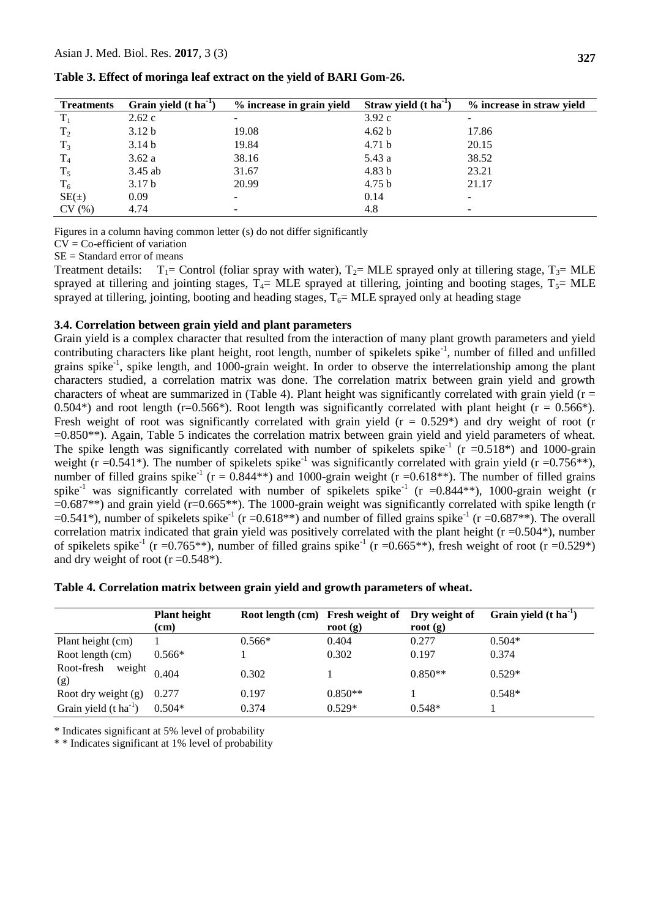| <b>Treatments</b> | Grain yield $(t \, ha1)$ | % increase in grain yield | Straw yield $(t \text{ ha}^{-1})$ | % increase in straw yield |
|-------------------|--------------------------|---------------------------|-----------------------------------|---------------------------|
| $T_1$             | 2.62c                    |                           | 3.92c                             | $\overline{\phantom{0}}$  |
| T <sub>2</sub>    | 3.12 <sub>b</sub>        | 19.08                     | 4.62 b                            | 17.86                     |
| $T_3$             | 3.14 <sub>b</sub>        | 19.84                     | 4.71 <sub>b</sub>                 | 20.15                     |
| $T_4$             | 3.62a                    | 38.16                     | 5.43 a                            | 38.52                     |
| $T_5$             | $3.45$ ab                | 31.67                     | 4.83 <sub>b</sub>                 | 23.21                     |
| $T_6$             | 3.17 <sub>b</sub>        | 20.99                     | 4.75 <sub>b</sub>                 | 21.17                     |
| $SE(\pm)$         | 0.09                     | ۰                         | 0.14                              | $\overline{\phantom{a}}$  |
| CV(%)             | 4.74                     |                           | 4.8                               | -                         |

**Table 3. Effect of moringa leaf extract on the yield of BARI Gom-26.**

Figures in a column having common letter (s) do not differ significantly

 $CV = Co\text{-efficient of variation}$ 

 $SE = Standard$  error of means

Treatment details:  $T_1$ = Control (foliar spray with water),  $T_2$ = MLE sprayed only at tillering stage,  $T_3$ = MLE sprayed at tillering and jointing stages,  $T_4=$  MLE sprayed at tillering, jointing and booting stages,  $T_5=$  MLE sprayed at tillering, jointing, booting and heading stages,  $T_6$ = MLE sprayed only at heading stage

#### **3.4. Correlation between grain yield and plant parameters**

Grain yield is a complex character that resulted from the interaction of many plant growth parameters and yield contributing characters like plant height, root length, number of spikelets spike<sup>-1</sup>, number of filled and unfilled grains spike<sup>-1</sup>, spike length, and 1000-grain weight. In order to observe the interrelationship among the plant characters studied, a correlation matrix was done. The correlation matrix between grain yield and growth characters of wheat are summarized in (Table 4). Plant height was significantly correlated with grain yield ( $r =$ 0.504\*) and root length (r=0.566\*). Root length was significantly correlated with plant height (r =  $0.566*$ ). Fresh weight of root was significantly correlated with grain yield  $(r = 0.529^*)$  and dry weight of root (r =0.850\*\*). Again, Table 5 indicates the correlation matrix between grain yield and yield parameters of wheat. The spike length was significantly correlated with number of spikelets spike<sup>-1</sup> ( $r = 0.518$ <sup>\*</sup>) and 1000-grain weight (r =0.541<sup>\*</sup>). The number of spikelets spike<sup>-1</sup> was significantly correlated with grain yield (r =0.756<sup>\*\*</sup>), number of filled grains spike<sup>-1</sup> ( $r = 0.844**$ ) and 1000-grain weight ( $r = 0.618**$ ). The number of filled grains spike<sup>-1</sup> was significantly correlated with number of spikelets spike<sup>-1</sup> ( $r = 0.844$ <sup>\*\*</sup>), 1000-grain weight ( $r = 0.844$ <sup>\*\*</sup>)  $=0.687**$ ) and grain yield (r=0.665\*\*). The 1000-grain weight was significantly correlated with spike length (r  $=0.541^*$ ), number of spikelets spike<sup>-1</sup> (r = 0.618<sup>\*\*</sup>) and number of filled grains spike<sup>-1</sup> (r = 0.687<sup>\*\*</sup>). The overall correlation matrix indicated that grain yield was positively correlated with the plant height ( $r = 0.504$ \*), number of spikelets spike<sup>-1</sup> (r =0.765<sup>\*\*</sup>), number of filled grains spike<sup>-1</sup> (r =0.665<sup>\*\*</sup>), fresh weight of root (r =0.529<sup>\*</sup>) and dry weight of root ( $r = 0.548$ <sup>\*</sup>).

|  |  |  | Table 4. Correlation matrix between grain yield and growth parameters of wheat. |  |
|--|--|--|---------------------------------------------------------------------------------|--|
|  |  |  |                                                                                 |  |

|                                   | <b>Plant height</b><br>(cm) | Root length (cm) Fresh weight of | root $(g)$ | Dry weight of<br>root $(g)$ | Grain yield $(t \text{ ha}^{-1})$ |
|-----------------------------------|-----------------------------|----------------------------------|------------|-----------------------------|-----------------------------------|
| Plant height (cm)                 |                             | $0.566*$                         | 0.404      | 0.277                       | $0.504*$                          |
| Root length (cm)                  | $0.566*$                    |                                  | 0.302      | 0.197                       | 0.374                             |
| weight<br>Root-fresh<br>(g)       | 0.404                       | 0.302                            |            | $0.850**$                   | $0.529*$                          |
| Root dry weight (g)               | 0.277                       | 0.197                            | $0.850**$  |                             | $0.548*$                          |
| Grain yield $(t \text{ ha}^{-1})$ | $0.504*$                    | 0.374                            | $0.529*$   | $0.548*$                    |                                   |

\* Indicates significant at 5% level of probability

\* \* Indicates significant at 1% level of probability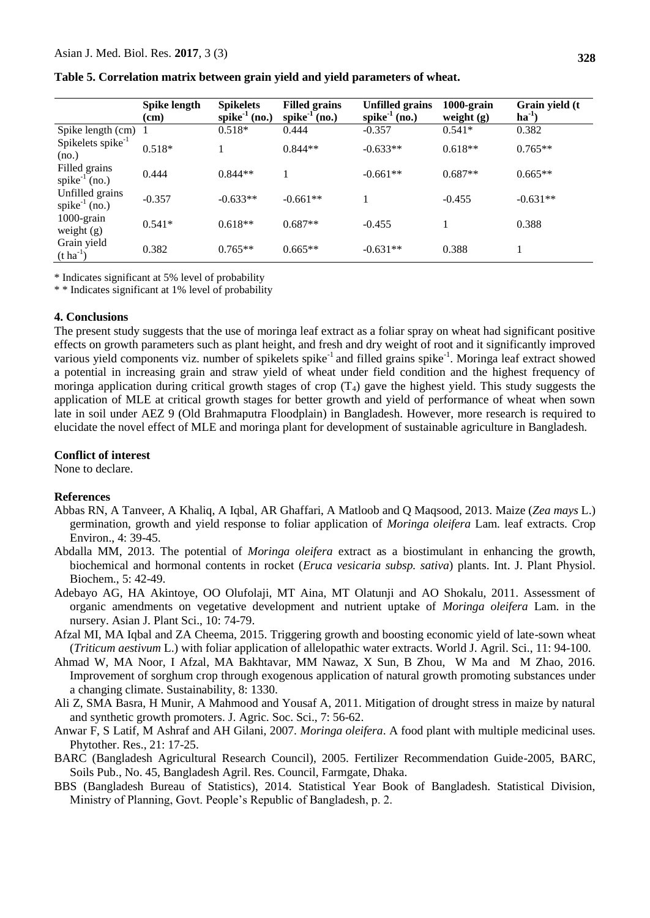|                                            | Spike length<br>(cm) | <b>Spikelets</b><br>spike $-1$ (no.) | <b>Filled grains</b><br>spike $\cdot$ <sup>1</sup> (no.) | <b>Unfilled grains</b><br>spike $-1$ (no.) | $1000$ -grain<br>weight $(g)$ | Grain yield (t<br>$ha^{-1}$ |
|--------------------------------------------|----------------------|--------------------------------------|----------------------------------------------------------|--------------------------------------------|-------------------------------|-----------------------------|
| Spike length (cm) 1                        |                      | $0.518*$                             | 0.444                                                    | $-0.357$                                   | $0.541*$                      | 0.382                       |
| Spikelets spike <sup>-1</sup><br>(no.)     | $0.518*$             |                                      | $0.844**$                                                | $-0.633**$                                 | $0.618**$                     | $0.765**$                   |
| Filled grains<br>spike <sup>-1</sup> (no.) | 0.444                | $0.844**$                            |                                                          | $-0.661**$                                 | $0.687**$                     | $0.665**$                   |
| Unfilled grains<br>spike $^{-1}$ (no.)     | $-0.357$             | $-0.633**$                           | $-0.661**$                                               |                                            | $-0.455$                      | $-0.631**$                  |
| 1000-grain<br>weight $(g)$                 | $0.541*$             | $0.618**$                            | $0.687**$                                                | $-0.455$                                   |                               | 0.388                       |
| Grain yield<br>$(t \, ha^{-1})$            | 0.382                | $0.765**$                            | $0.665**$                                                | $-0.631**$                                 | 0.388                         |                             |

| Table 5. Correlation matrix between grain yield and yield parameters of wheat. |  |  |  |  |  |  |  |  |
|--------------------------------------------------------------------------------|--|--|--|--|--|--|--|--|
|--------------------------------------------------------------------------------|--|--|--|--|--|--|--|--|

\* Indicates significant at 5% level of probability

\* \* Indicates significant at 1% level of probability

#### **4. Conclusions**

The present study suggests that the use of moringa leaf extract as a foliar spray on wheat had significant positive effects on growth parameters such as plant height, and fresh and dry weight of root and it significantly improved various yield components viz. number of spikelets spike<sup>-1</sup> and filled grains spike<sup>-1</sup>. Moringa leaf extract showed a potential in increasing grain and straw yield of wheat under field condition and the highest frequency of moringa application during critical growth stages of crop  $(T_4)$  gave the highest yield. This study suggests the application of MLE at critical growth stages for better growth and yield of performance of wheat when sown late in soil under AEZ 9 (Old Brahmaputra Floodplain) in Bangladesh. However, more research is required to elucidate the novel effect of MLE and moringa plant for development of sustainable agriculture in Bangladesh.

#### **Conflict of interest**

None to declare.

#### **References**

- Abbas RN, A Tanveer, A Khaliq, A Iqbal, AR Ghaffari, A Matloob and Q Maqsood, 2013. Maize (*Zea mays* L.) germination, growth and yield response to foliar application of *Moringa oleifera* Lam. leaf extracts. Crop Environ., 4: 39-45.
- Abdalla MM, 2013. The potential of *Moringa oleifera* extract as a biostimulant in enhancing the growth, biochemical and hormonal contents in rocket (*Eruca vesicaria subsp. sativa*) plants. Int. J. Plant Physiol. Biochem., 5: 42-49.
- Adebayo AG, HA Akintoye, OO Olufolaji, MT Aina, MT Olatunji and AO Shokalu, 2011. Assessment of organic amendments on vegetative development and nutrient uptake of *Moringa oleifera* Lam. in the nursery. Asian J. Plant Sci., 10: 74-79.
- Afzal MI, MA Iqbal and ZA Cheema, 2015. Triggering growth and boosting economic yield of late-sown wheat (*Triticum aestivum* L.) with foliar application of allelopathic water extracts. World J. Agril. Sci., 11: 94-100.
- Ahmad W, MA Noor, I Afzal, MA Bakhtavar, MM Nawaz, X Sun, B Zhou, W Ma and M Zhao, 2016. Improvement of sorghum crop through exogenous application of natural growth promoting substances under a changing climate. Sustainability, 8: 1330.
- Ali Z, SMA Basra, H Munir, A Mahmood and Yousaf A, 2011. Mitigation of drought stress in maize by natural and synthetic growth promoters. J. Agric. Soc. Sci., 7: 56-62.
- Anwar F, S Latif, M Ashraf and AH Gilani, 2007. *Moringa oleifera*. A food plant with multiple medicinal uses. Phytother. Res., 21: 17-25.
- BARC (Bangladesh Agricultural Research Council), 2005. Fertilizer Recommendation Guide-2005, BARC, Soils Pub., No. 45, Bangladesh Agril. Res. Council, Farmgate, Dhaka.
- BBS (Bangladesh Bureau of Statistics), 2014. Statistical Year Book of Bangladesh. Statistical Division, Ministry of Planning, Govt. People's Republic of Bangladesh, p. 2.